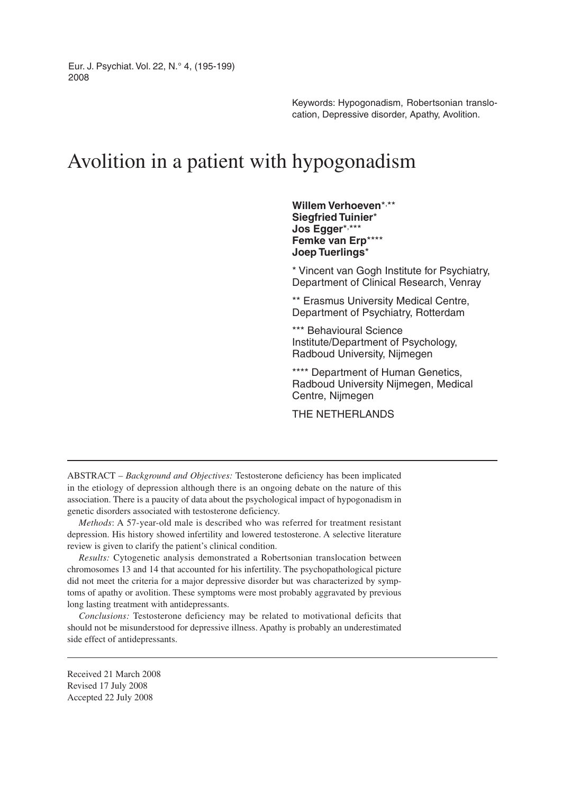Eur. J. Psychiat. Vol. 22, N.° 4, (195-199) 2008

> Keywords: Hypogonadism, Robertsonian translocation, Depressive disorder, Apathy, Avolition.

# Avolition in a patient with hypogonadism

**Willem Verhoeven**\*, \*\* **Siegfried Tuinier**\* **Jos Egger**\*, \*\*\* **Femke van Erp**\*\*\*\* **Joep Tuerlings**\*

\* Vincent van Gogh Institute for Psychiatry, Department of Clinical Research, Venray

\*\* Erasmus University Medical Centre, Department of Psychiatry, Rotterdam

\*\*\* Behavioural Science Institute/Department of Psychology, Radboud University, Nijmegen

\*\*\*\* Department of Human Genetics, Radboud University Nijmegen, Medical Centre, Nijmegen

THE NETHERLANDS

ABSTRACT – *Background and Objectives:* Testosterone deficiency has been implicated in the etiology of depression although there is an ongoing debate on the nature of this association. There is a paucity of data about the psychological impact of hypogonadism in genetic disorders associated with testosterone deficiency.

*Methods*: A 57-year-old male is described who was referred for treatment resistant depression. His history showed infertility and lowered testosterone. A selective literature review is given to clarify the patient's clinical condition.

*Results:* Cytogenetic analysis demonstrated a Robertsonian translocation between chromosomes 13 and 14 that accounted for his infertility. The psychopathological picture did not meet the criteria for a major depressive disorder but was characterized by symptoms of apathy or avolition. These symptoms were most probably aggravated by previous long lasting treatment with antidepressants.

*Conclusions:* Testosterone deficiency may be related to motivational deficits that should not be misunderstood for depressive illness. Apathy is probably an underestimated side effect of antidepressants.

Received 21 March 2008 Revised 17 July 2008 Accepted 22 July 2008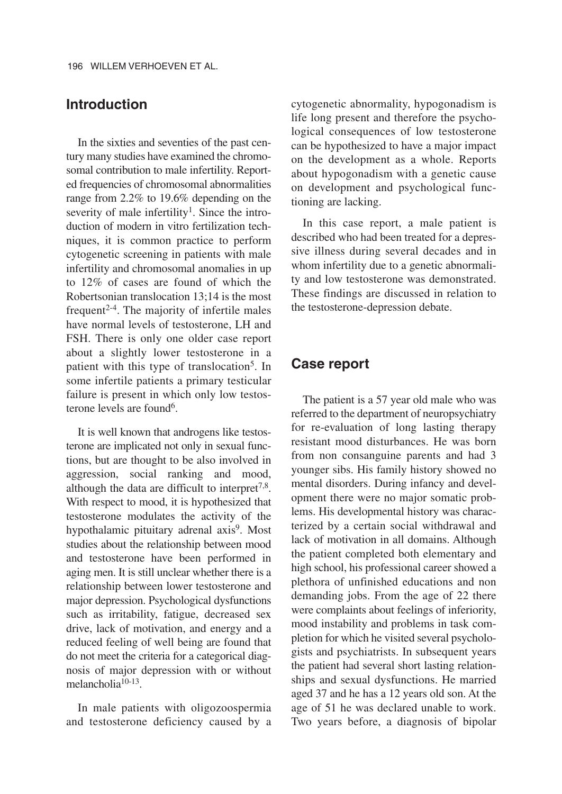## **Introduction**

In the sixties and seventies of the past century many studies have examined the chromosomal contribution to male infertility. Reported frequencies of chromosomal abnormalities range from 2.2% to 19.6% depending on the severity of male infertility<sup>1</sup>. Since the introduction of modern in vitro fertilization techniques, it is common practice to perform cytogenetic screening in patients with male infertility and chromosomal anomalies in up to 12% of cases are found of which the Robertsonian translocation 13;14 is the most frequent<sup>2-4</sup>. The majority of infertile males have normal levels of testosterone, LH and FSH. There is only one older case report about a slightly lower testosterone in a patient with this type of translocation<sup>5</sup>. In some infertile patients a primary testicular failure is present in which only low testosterone levels are found<sup>6</sup>.

It is well known that androgens like testosterone are implicated not only in sexual functions, but are thought to be also involved in aggression, social ranking and mood, although the data are difficult to interpret<sup>7,8</sup>. With respect to mood, it is hypothesized that testosterone modulates the activity of the hypothalamic pituitary adrenal axis<sup>9</sup>. Most studies about the relationship between mood and testosterone have been performed in aging men. It is still unclear whether there is a relationship between lower testosterone and major depression. Psychological dysfunctions such as irritability, fatigue, decreased sex drive, lack of motivation, and energy and a reduced feeling of well being are found that do not meet the criteria for a categorical diagnosis of major depression with or without melancholia10-13.

In male patients with oligozoospermia and testosterone deficiency caused by a cytogenetic abnormality, hypogonadism is life long present and therefore the psychological consequences of low testosterone can be hypothesized to have a major impact on the development as a whole. Reports about hypogonadism with a genetic cause on development and psychological functioning are lacking.

In this case report, a male patient is described who had been treated for a depressive illness during several decades and in whom infertility due to a genetic abnormality and low testosterone was demonstrated. These findings are discussed in relation to the testosterone-depression debate.

#### **Case report**

The patient is a 57 year old male who was referred to the department of neuropsychiatry for re-evaluation of long lasting therapy resistant mood disturbances. He was born from non consanguine parents and had 3 younger sibs. His family history showed no mental disorders. During infancy and development there were no major somatic problems. His developmental history was characterized by a certain social withdrawal and lack of motivation in all domains. Although the patient completed both elementary and high school, his professional career showed a plethora of unfinished educations and non demanding jobs. From the age of 22 there were complaints about feelings of inferiority, mood instability and problems in task completion for which he visited several psychologists and psychiatrists. In subsequent years the patient had several short lasting relationships and sexual dysfunctions. He married aged 37 and he has a 12 years old son. At the age of 51 he was declared unable to work. Two years before, a diagnosis of bipolar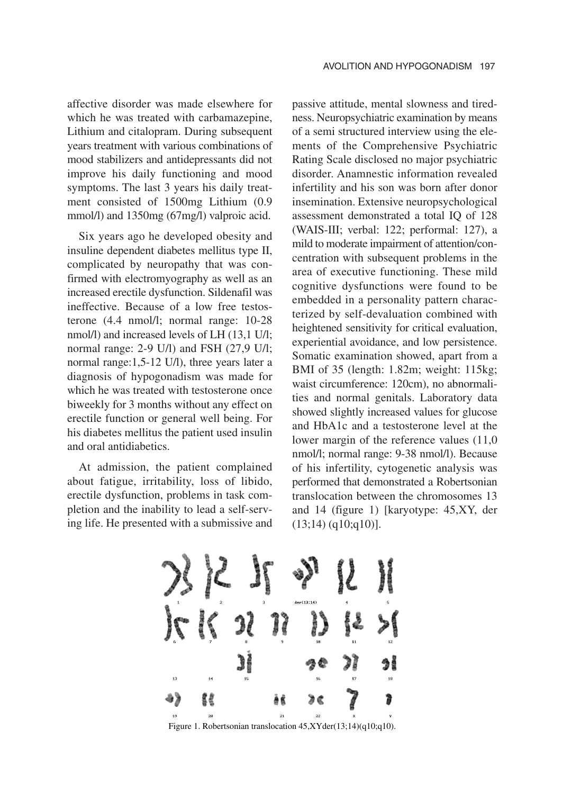affective disorder was made elsewhere for which he was treated with carbamazepine, Lithium and citalopram. During subsequent years treatment with various combinations of mood stabilizers and antidepressants did not improve his daily functioning and mood symptoms. The last 3 years his daily treatment consisted of 1500mg Lithium (0.9 mmol/l) and 1350mg (67mg/l) valproic acid.

Six years ago he developed obesity and insuline dependent diabetes mellitus type II, complicated by neuropathy that was confirmed with electromyography as well as an increased erectile dysfunction. Sildenafil was ineffective. Because of a low free testosterone (4.4 nmol/l; normal range: 10-28 nmol/l) and increased levels of LH (13,1 U/l; normal range: 2-9 U/l) and FSH (27,9 U/l; normal range:1,5-12 U/l), three years later a diagnosis of hypogonadism was made for which he was treated with testosterone once biweekly for 3 months without any effect on erectile function or general well being. For his diabetes mellitus the patient used insulin and oral antidiabetics.

At admission, the patient complained about fatigue, irritability, loss of libido, erectile dysfunction, problems in task completion and the inability to lead a self-serving life. He presented with a submissive and passive attitude, mental slowness and tiredness. Neuropsychiatric examination by means of a semi structured interview using the elements of the Comprehensive Psychiatric Rating Scale disclosed no major psychiatric disorder. Anamnestic information revealed infertility and his son was born after donor insemination. Extensive neuropsychological assessment demonstrated a total IQ of 128 (WAIS-III; verbal: 122; performal: 127), a mild to moderate impairment of attention/concentration with subsequent problems in the area of executive functioning. These mild cognitive dysfunctions were found to be embedded in a personality pattern characterized by self-devaluation combined with heightened sensitivity for critical evaluation, experiential avoidance, and low persistence. Somatic examination showed, apart from a BMI of 35 (length: 1.82m; weight: 115kg; waist circumference: 120cm), no abnormalities and normal genitals. Laboratory data showed slightly increased values for glucose and HbA1c and a testosterone level at the lower margin of the reference values (11,0 nmol/l; normal range: 9-38 nmol/l). Because of his infertility, cytogenetic analysis was performed that demonstrated a Robertsonian translocation between the chromosomes 13 and 14 (figure 1) [karyotype: 45,XY, der  $(13;14)$  (q10;q10)].



Figure 1. Robertsonian translocation 45,XYder(13;14)(q10;q10).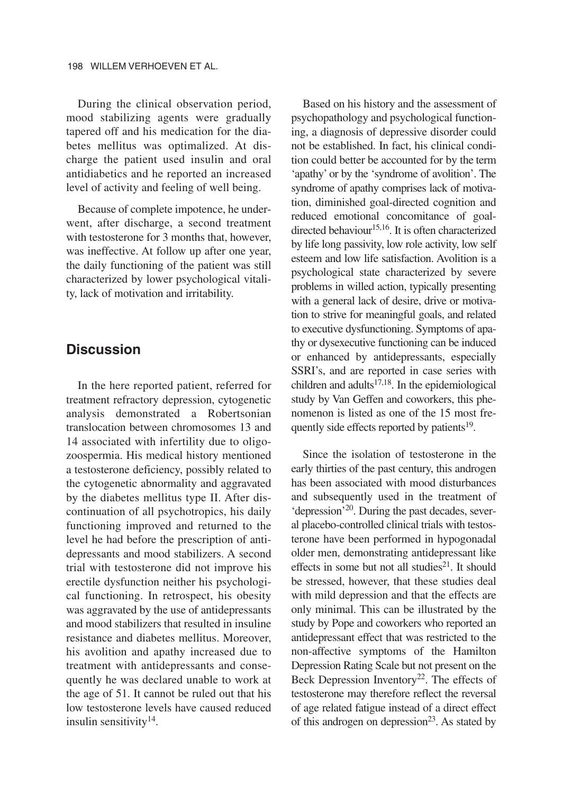During the clinical observation period, mood stabilizing agents were gradually tapered off and his medication for the diabetes mellitus was optimalized. At discharge the patient used insulin and oral antidiabetics and he reported an increased level of activity and feeling of well being.

Because of complete impotence, he underwent, after discharge, a second treatment with testosterone for 3 months that, however, was ineffective. At follow up after one year, the daily functioning of the patient was still characterized by lower psychological vitality, lack of motivation and irritability.

## **Discussion**

In the here reported patient, referred for treatment refractory depression, cytogenetic analysis demonstrated a Robertsonian translocation between chromosomes 13 and 14 associated with infertility due to oligozoospermia. His medical history mentioned a testosterone deficiency, possibly related to the cytogenetic abnormality and aggravated by the diabetes mellitus type II. After discontinuation of all psychotropics, his daily functioning improved and returned to the level he had before the prescription of antidepressants and mood stabilizers. A second trial with testosterone did not improve his erectile dysfunction neither his psychological functioning. In retrospect, his obesity was aggravated by the use of antidepressants and mood stabilizers that resulted in insuline resistance and diabetes mellitus. Moreover, his avolition and apathy increased due to treatment with antidepressants and consequently he was declared unable to work at the age of 51. It cannot be ruled out that his low testosterone levels have caused reduced insulin sensitivity $14$ .

Based on his history and the assessment of psychopathology and psychological functioning, a diagnosis of depressive disorder could not be established. In fact, his clinical condition could better be accounted for by the term 'apathy' or by the 'syndrome of avolition'. The syndrome of apathy comprises lack of motivation, diminished goal-directed cognition and reduced emotional concomitance of goaldirected behaviour $15,16$ . It is often characterized by life long passivity, low role activity, low self esteem and low life satisfaction. Avolition is a psychological state characterized by severe problems in willed action, typically presenting with a general lack of desire, drive or motivation to strive for meaningful goals, and related to executive dysfunctioning. Symptoms of apathy or dysexecutive functioning can be induced or enhanced by antidepressants, especially SSRI's, and are reported in case series with children and adults $17,18$ . In the epidemiological study by Van Geffen and coworkers, this phenomenon is listed as one of the 15 most frequently side effects reported by patients $19$ .

Since the isolation of testosterone in the early thirties of the past century, this androgen has been associated with mood disturbances and subsequently used in the treatment of 'depression'20. During the past decades, several placebo-controlled clinical trials with testosterone have been performed in hypogonadal older men, demonstrating antidepressant like effects in some but not all studies<sup>21</sup>. It should be stressed, however, that these studies deal with mild depression and that the effects are only minimal. This can be illustrated by the study by Pope and coworkers who reported an antidepressant effect that was restricted to the non-affective symptoms of the Hamilton Depression Rating Scale but not present on the Beck Depression Inventory<sup>22</sup>. The effects of testosterone may therefore reflect the reversal of age related fatigue instead of a direct effect of this androgen on depression<sup>23</sup>. As stated by